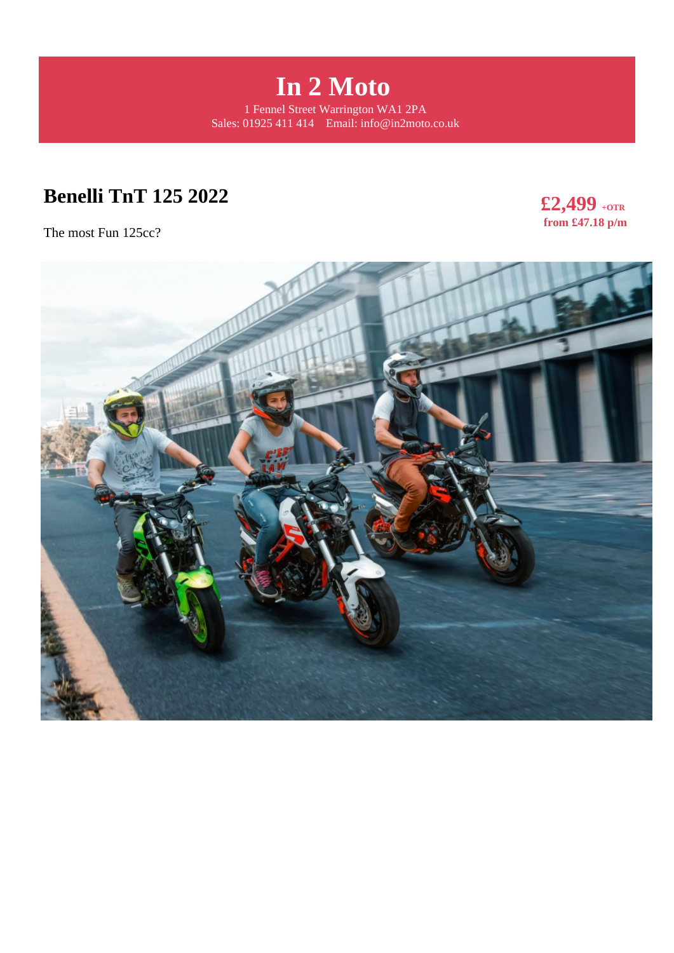

# **Benelli TnT 125 2022**

The most Fun 125cc?



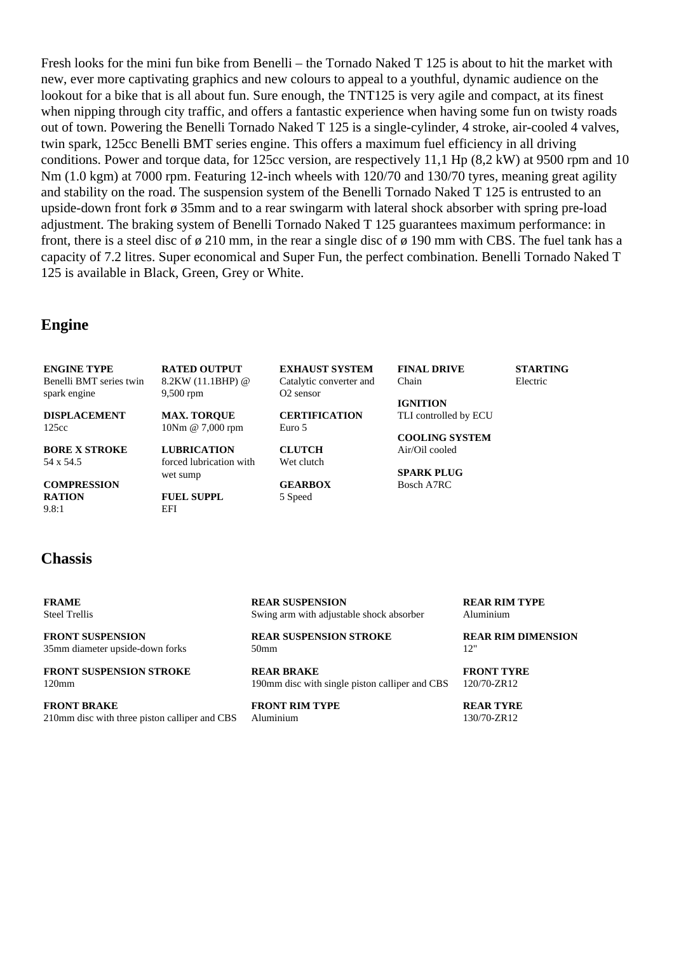Fresh looks for the mini fun bike from Benelli – the Tornado Naked T 125 is about to hit the market with new, ever more captivating graphics and new colours to appeal to a youthful, dynamic audience on the lookout for a bike that is all about fun. Sure enough, the TNT125 is very agile and compact, at its finest when nipping through city traffic, and offers a fantastic experience when having some fun on twisty roads out of town. Powering the Benelli Tornado Naked T 125 is a single-cylinder, 4 stroke, air-cooled 4 valves, twin spark, 125cc Benelli BMT series engine. This offers a maximum fuel efficiency in all driving conditions. Power and torque data, for 125cc version, are respectively 11,1 Hp (8,2 kW) at 9500 rpm and 10 Nm (1.0 kgm) at 7000 rpm. Featuring 12-inch wheels with 120/70 and 130/70 tyres, meaning great agility and stability on the road. The suspension system of the Benelli Tornado Naked T 125 is entrusted to an upside-down front fork ø 35mm and to a rear swingarm with lateral shock absorber with spring pre-load adjustment. The braking system of Benelli Tornado Naked T 125 guarantees maximum performance: in front, there is a steel disc of ø 210 mm, in the rear a single disc of ø 190 mm with CBS. The fuel tank has a capacity of 7.2 litres. Super economical and Super Fun, the perfect combination. Benelli Tornado Naked T 125 is available in Black, Green, Grey or White.

#### **Engine**

**ENGINE TYPE** Benelli BMT series twin spark engine **DISPLACEMENT** 125cc **BORE X STROKE** 54 x 54.5 **COMPRESSION RATION** 9.8:1 **RATED OUTPUT** 8.2KW (11.1BHP) @ 9,500 rpm **MAX. TORQUE** 10Nm @ 7,000 rpm **LUBRICATION** forced lubrication with wet sump **FUEL SUPPL** EFI **EXHAUST SYSTEM** Catalytic converter and O2 sensor **CERTIFICATION** Euro 5 **CLUTCH** Wet clutch **GEARBOX** 5 Speed **FINAL DRIVE** Chain **IGNITION** TLI controlled by ECU **COOLING SYSTEM** Air/Oil cooled **SPARK PLUG** Bosch A7RC **STARTING** Electric

#### **Chassis**

**FRAME** Steel Trellis

**FRONT SUSPENSION** 35mm diameter upside-down forks

**FRONT SUSPENSION STROKE** 120mm

**FRONT BRAKE** 210mm disc with three piston calliper and CBS **REAR SUSPENSION** Swing arm with adjustable shock absorber

**REAR SUSPENSION STROKE** 50mm

**REAR BRAKE** 190mm disc with single piston calliper and CBS

**FRONT RIM TYPE** Aluminium

**REAR RIM TYPE** Aluminium

**REAR RIM DIMENSION** 12"

**FRONT TYRE** 120/70-ZR12

**REAR TYRE** 130/70-ZR12